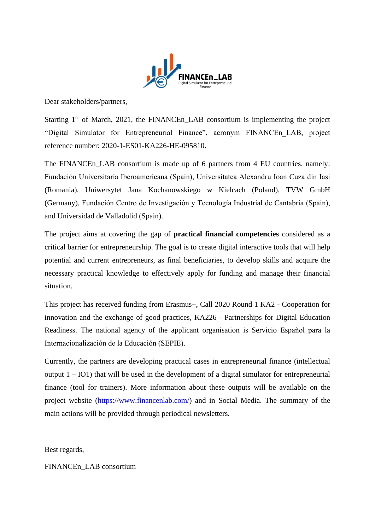

Dear stakeholders/partners,

Starting  $1<sup>st</sup>$  of March, 2021, the FINANCEn<sub>LAB</sub> consortium is implementing the project "Digital Simulator for Entrepreneurial Finance", acronym FINANCEn\_LAB, project reference number: 2020-1-ES01-KA226-HE-095810.

The FINANCEn LAB consortium is made up of 6 partners from 4 EU countries, namely: Fundación Universitaria Iberoamericana (Spain), Universitatea Alexandru Ioan Cuza din Iasi (Romania), Uniwersytet Jana Kochanowskiego w Kielcach (Poland), TVW GmbH (Germany), Fundación Centro de Investigación y Tecnología Industrial de Cantabria (Spain), and Universidad de Valladolid (Spain).

The project aims at covering the gap of **practical financial competencies** considered as a critical barrier for entrepreneurship. The goal is to create digital interactive tools that will help potential and current entrepreneurs, as final beneficiaries, to develop skills and acquire the necessary practical knowledge to effectively apply for funding and manage their financial situation.

This project has received funding from Erasmus+, Call 2020 Round 1 KA2 - Cooperation for innovation and the exchange of good practices, KA226 - Partnerships for Digital Education Readiness. The national agency of the applicant organisation is Servicio Español para la Internacionalización de la Educación (SEPIE).

Currently, the partners are developing practical cases in entrepreneurial finance (intellectual output  $1 - IO1$ ) that will be used in the development of a digital simulator for entrepreneurial finance (tool for trainers). More information about these outputs will be available on the project website [\(https://www.financenlab.com/\)](https://www.financenlab.com/) and in Social Media. The summary of the main actions will be provided through periodical newsletters.

Best regards,

FINANCEn\_LAB consortium